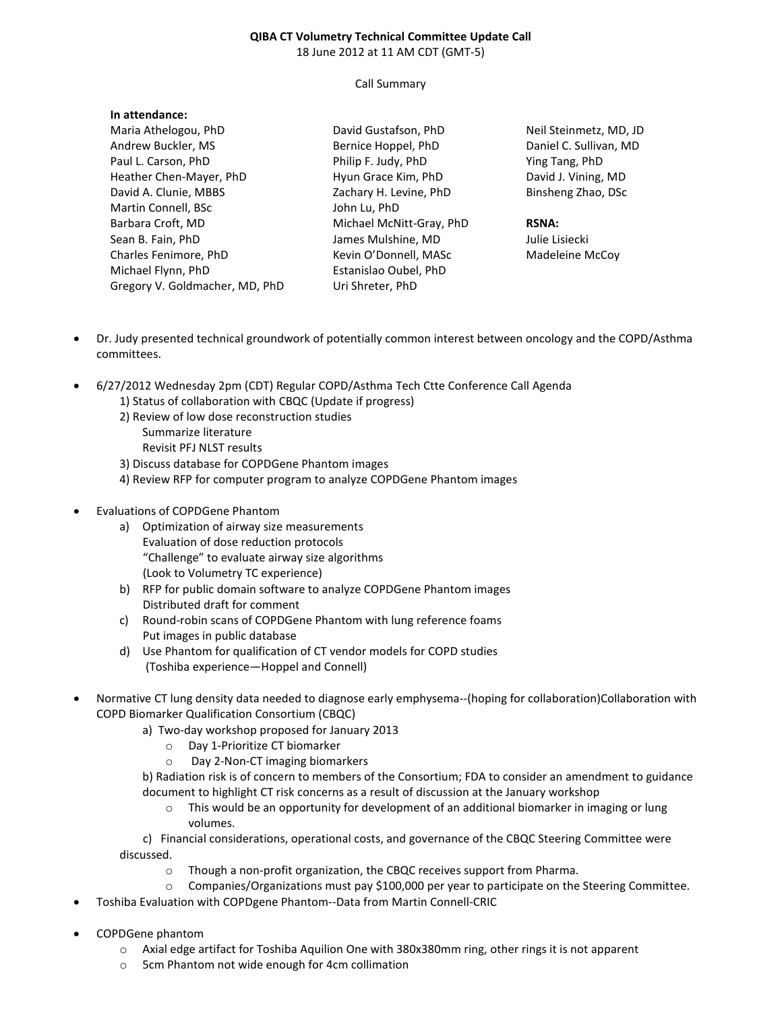#### **QIBA CT Volumetry Technical Committee Update Call**  18 June 2012 at 11 AM CDT (GMT-5)

#### Call Summary

| III duchudhue.                 |                          |                   |
|--------------------------------|--------------------------|-------------------|
| Maria Athelogou, PhD           | David Gustafson, PhD     | Neil !            |
| Andrew Buckler, MS             | Bernice Hoppel, PhD      | Dani              |
| Paul L. Carson, PhD            | Philip F. Judy, PhD      | Ying <sup>-</sup> |
| Heather Chen-Mayer, PhD        | Hyun Grace Kim, PhD      | Davio             |
| David A. Clunie, MBBS          | Zachary H. Levine, PhD   | <b>Binsh</b>      |
| Martin Connell, BSc            | John Lu, PhD             |                   |
| Barbara Croft, MD              | Michael McNitt-Gray, PhD | <b>RSN/</b>       |
| Sean B. Fain, PhD              | James Mulshine, MD       | Julie             |
| Charles Fenimore, PhD          | Kevin O'Donnell, MASc    | Mad               |
| Michael Flynn, PhD             | Estanislao Oubel, PhD    |                   |
| Gregory V. Goldmacher, MD, PhD | Uri Shreter, PhD         |                   |
|                                |                          |                   |

Steinmetz, MD, JD el C. Sullivan, MD Tang, PhD d J. Vining, MD Binsheng Zhao, DSc

### **RSNA:**

Lisiecki eleine McCoy

- Dr. Judy presented technical groundwork of potentially common interest between oncology and the COPD/Asthma committees.
- 6/27/2012 Wednesday 2pm (CDT) Regular COPD/Asthma Tech Ctte Conference Call Agenda
	- 1) Status of collaboration with CBQC (Update if progress)
	- 2) Review of low dose reconstruction studies Summarize literature
		- Revisit PFJ NLST results
	- 3) Discuss database for COPDGene Phantom images
	- 4) Review RFP for computer program to analyze COPDGene Phantom images

## • Evaluations of COPDGene Phantom

**In attendance:** 

- a) Optimization of airway size measurements Evaluation of dose reduction protocols "Challenge" to evaluate airway size algorithms (Look to Volumetry TC experience)
- b) RFP for public domain software to analyze COPDGene Phantom images Distributed draft for comment
- c) Round-robin scans of COPDGene Phantom with lung reference foams Put images in public database
- d) Use Phantom for qualification of CT vendor models for COPD studies (Toshiba experience—Hoppel and Connell)
- Normative CT lung density data needed to diagnose early emphysema--(hoping for collaboration)Collaboration with COPD Biomarker Qualification Consortium (CBQC)
	- a) Two-day workshop proposed for January 2013
		- o Day 1-Prioritize CT biomarker
		- o Day 2-Non-CT imaging biomarkers
	- b) Radiation risk is of concern to members of the Consortium; FDA to consider an amendment to guidance document to highlight CT risk concerns as a result of discussion at the January workshop
		- o This would be an opportunity for development of an additional biomarker in imaging or lung volumes.

 c) Financial considerations, operational costs, and governance of the CBQC Steering Committee were discussed.

- o Though a non-profit organization, the CBQC receives support from Pharma.
- o Companies/Organizations must pay \$100,000 per year to participate on the Steering Committee.
- Toshiba Evaluation with COPDgene Phantom--Data from Martin Connell-CRIC
- COPDGene phantom
	- o Axial edge artifact for Toshiba Aquilion One with 380x380mm ring, other rings it is not apparent
	- o 5cm Phantom not wide enough for 4cm collimation